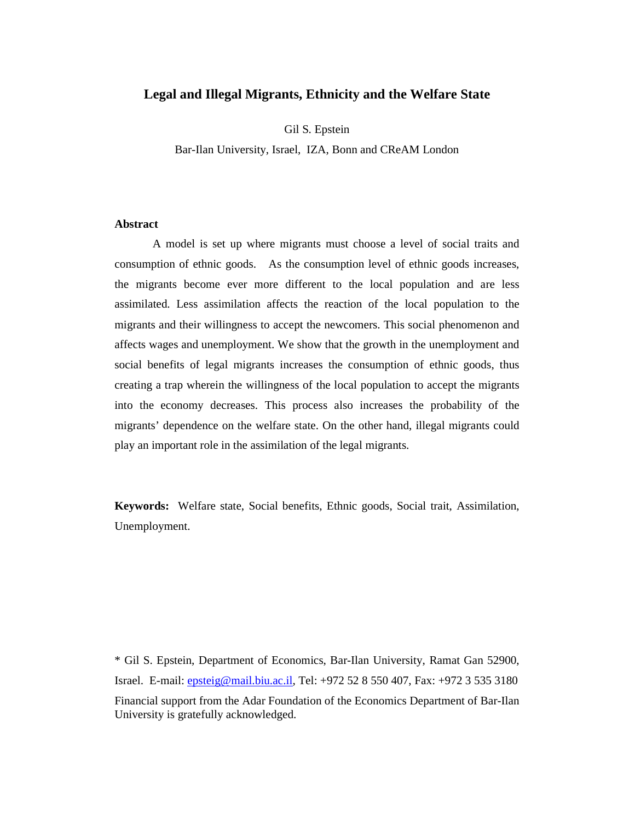# **Legal and Illegal Migrants, Ethnicity and the Welfare State**

Gil S. Epstein

Bar-Ilan University, Israel, IZA, Bonn and CReAM London

## **Abstract**

 A model is set up where migrants must choose a level of social traits and consumption of ethnic goods. As the consumption level of ethnic goods increases, the migrants become ever more different to the local population and are less assimilated. Less assimilation affects the reaction of the local population to the migrants and their willingness to accept the newcomers. This social phenomenon and affects wages and unemployment. We show that the growth in the unemployment and social benefits of legal migrants increases the consumption of ethnic goods, thus creating a trap wherein the willingness of the local population to accept the migrants into the economy decreases. This process also increases the probability of the migrants' dependence on the welfare state. On the other hand, illegal migrants could play an important role in the assimilation of the legal migrants.

**Keywords:** Welfare state, Social benefits, Ethnic goods, Social trait, Assimilation, Unemployment.

\* Gil S. Epstein, Department of Economics, Bar-Ilan University, Ramat Gan 52900, Israel. E-mail: epsteig@mail.biu.ac.il, Tel: +972 52 8 550 407, Fax: +972 3 535 3180 Financial support from the Adar Foundation of the Economics Department of Bar-Ilan University is gratefully acknowledged.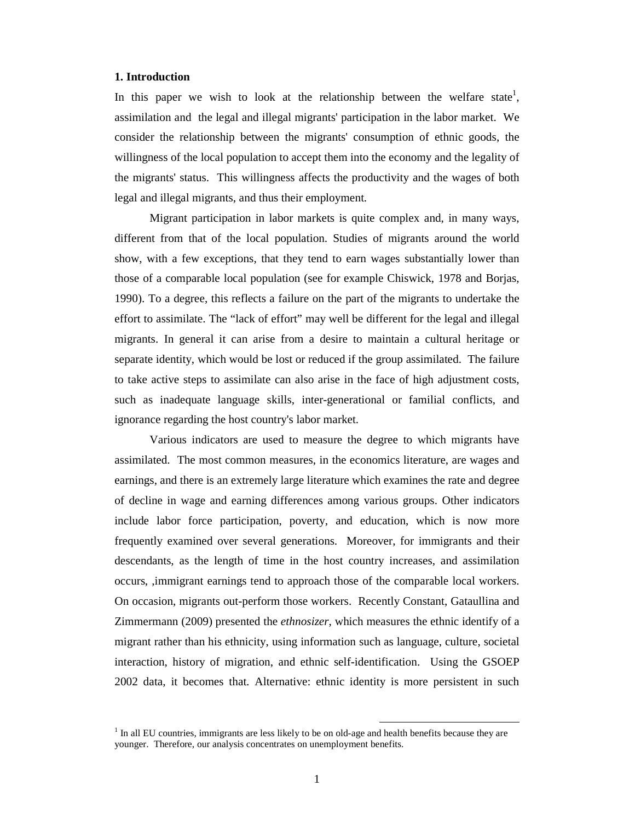#### **1. Introduction**

In this paper we wish to look at the relationship between the welfare state<sup>1</sup>, assimilation and the legal and illegal migrants' participation in the labor market. We consider the relationship between the migrants' consumption of ethnic goods, the willingness of the local population to accept them into the economy and the legality of the migrants' status. This willingness affects the productivity and the wages of both legal and illegal migrants, and thus their employment.

Migrant participation in labor markets is quite complex and, in many ways, different from that of the local population. Studies of migrants around the world show, with a few exceptions, that they tend to earn wages substantially lower than those of a comparable local population (see for example Chiswick, 1978 and Borjas, 1990). To a degree, this reflects a failure on the part of the migrants to undertake the effort to assimilate. The "lack of effort" may well be different for the legal and illegal migrants. In general it can arise from a desire to maintain a cultural heritage or separate identity, which would be lost or reduced if the group assimilated. The failure to take active steps to assimilate can also arise in the face of high adjustment costs, such as inadequate language skills, inter-generational or familial conflicts, and ignorance regarding the host country's labor market.

Various indicators are used to measure the degree to which migrants have assimilated. The most common measures, in the economics literature, are wages and earnings, and there is an extremely large literature which examines the rate and degree of decline in wage and earning differences among various groups. Other indicators include labor force participation, poverty, and education, which is now more frequently examined over several generations. Moreover, for immigrants and their descendants, as the length of time in the host country increases, and assimilation occurs, ,immigrant earnings tend to approach those of the comparable local workers. On occasion, migrants out-perform those workers. Recently Constant, Gataullina and Zimmermann (2009) presented the *ethnosizer*, which measures the ethnic identify of a migrant rather than his ethnicity, using information such as language, culture, societal interaction, history of migration, and ethnic self-identification. Using the GSOEP 2002 data, it becomes that. Alternative: ethnic identity is more persistent in such

 $<sup>1</sup>$  In all EU countries, immigrants are less likely to be on old-age and health benefits because they are</sup> younger. Therefore, our analysis concentrates on unemployment benefits.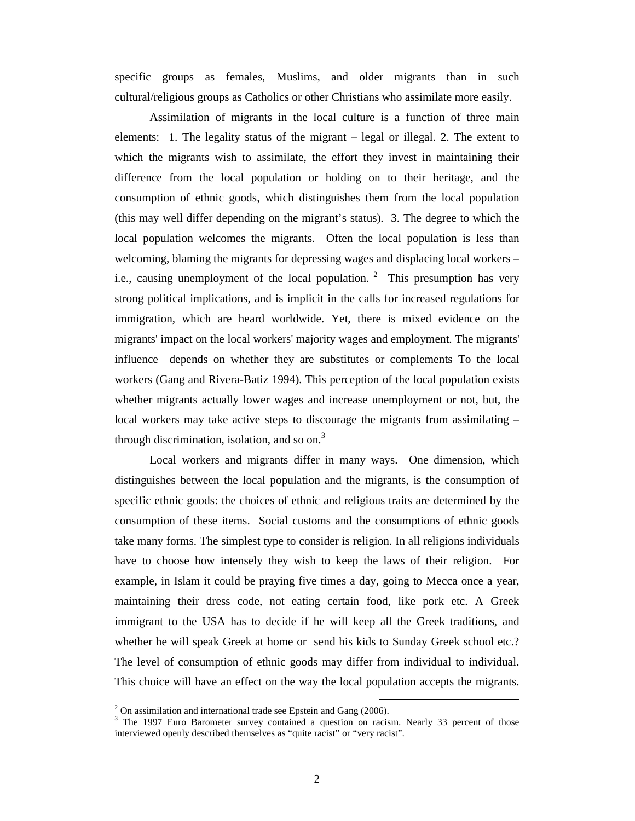specific groups as females, Muslims, and older migrants than in such cultural/religious groups as Catholics or other Christians who assimilate more easily.

Assimilation of migrants in the local culture is a function of three main elements: 1. The legality status of the migrant – legal or illegal. 2. The extent to which the migrants wish to assimilate, the effort they invest in maintaining their difference from the local population or holding on to their heritage, and the consumption of ethnic goods, which distinguishes them from the local population (this may well differ depending on the migrant's status). 3. The degree to which the local population welcomes the migrants. Often the local population is less than welcoming, blaming the migrants for depressing wages and displacing local workers – i.e., causing unemployment of the local population.<sup>2</sup> This presumption has very strong political implications, and is implicit in the calls for increased regulations for immigration, which are heard worldwide. Yet, there is mixed evidence on the migrants' impact on the local workers' majority wages and employment. The migrants' influence depends on whether they are substitutes or complements To the local workers (Gang and Rivera-Batiz 1994). This perception of the local population exists whether migrants actually lower wages and increase unemployment or not, but, the local workers may take active steps to discourage the migrants from assimilating – through discrimination, isolation, and so on.<sup>3</sup>

 Local workers and migrants differ in many ways. One dimension, which distinguishes between the local population and the migrants, is the consumption of specific ethnic goods: the choices of ethnic and religious traits are determined by the consumption of these items. Social customs and the consumptions of ethnic goods take many forms. The simplest type to consider is religion. In all religions individuals have to choose how intensely they wish to keep the laws of their religion. For example, in Islam it could be praying five times a day, going to Mecca once a year, maintaining their dress code, not eating certain food, like pork etc. A Greek immigrant to the USA has to decide if he will keep all the Greek traditions, and whether he will speak Greek at home or send his kids to Sunday Greek school etc.? The level of consumption of ethnic goods may differ from individual to individual. This choice will have an effect on the way the local population accepts the migrants.

 $2$  On assimilation and international trade see Epstein and Gang (2006).

<sup>&</sup>lt;sup>3</sup> The 1997 Euro Barometer survey contained a question on racism. Nearly 33 percent of those interviewed openly described themselves as "quite racist" or "very racist".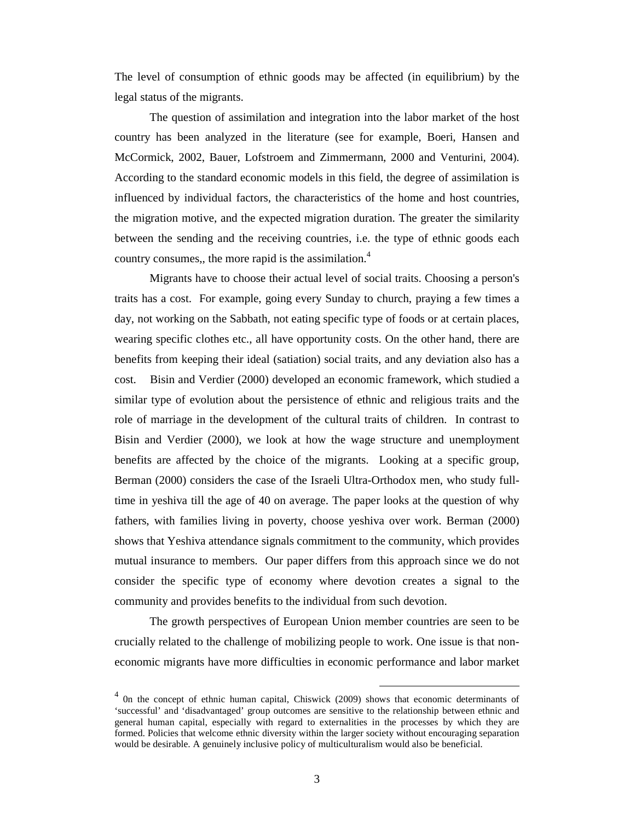The level of consumption of ethnic goods may be affected (in equilibrium) by the legal status of the migrants.

The question of assimilation and integration into the labor market of the host country has been analyzed in the literature (see for example, Boeri, Hansen and McCormick, 2002, Bauer, Lofstroem and Zimmermann, 2000 and Venturini, 2004). According to the standard economic models in this field, the degree of assimilation is influenced by individual factors, the characteristics of the home and host countries, the migration motive, and the expected migration duration. The greater the similarity between the sending and the receiving countries, i.e. the type of ethnic goods each country consumes,, the more rapid is the assimilation.<sup>4</sup>

Migrants have to choose their actual level of social traits. Choosing a person's traits has a cost. For example, going every Sunday to church, praying a few times a day, not working on the Sabbath, not eating specific type of foods or at certain places, wearing specific clothes etc., all have opportunity costs. On the other hand, there are benefits from keeping their ideal (satiation) social traits, and any deviation also has a cost. Bisin and Verdier (2000) developed an economic framework, which studied a similar type of evolution about the persistence of ethnic and religious traits and the role of marriage in the development of the cultural traits of children. In contrast to Bisin and Verdier (2000), we look at how the wage structure and unemployment benefits are affected by the choice of the migrants. Looking at a specific group, Berman (2000) considers the case of the Israeli Ultra-Orthodox men, who study fulltime in yeshiva till the age of 40 on average. The paper looks at the question of why fathers, with families living in poverty, choose yeshiva over work. Berman (2000) shows that Yeshiva attendance signals commitment to the community, which provides mutual insurance to members. Our paper differs from this approach since we do not consider the specific type of economy where devotion creates a signal to the community and provides benefits to the individual from such devotion.

The growth perspectives of European Union member countries are seen to be crucially related to the challenge of mobilizing people to work. One issue is that noneconomic migrants have more difficulties in economic performance and labor market

<sup>&</sup>lt;sup>4</sup> On the concept of ethnic human capital, Chiswick (2009) shows that economic determinants of 'successful' and 'disadvantaged' group outcomes are sensitive to the relationship between ethnic and general human capital, especially with regard to externalities in the processes by which they are formed. Policies that welcome ethnic diversity within the larger society without encouraging separation would be desirable. A genuinely inclusive policy of multiculturalism would also be beneficial.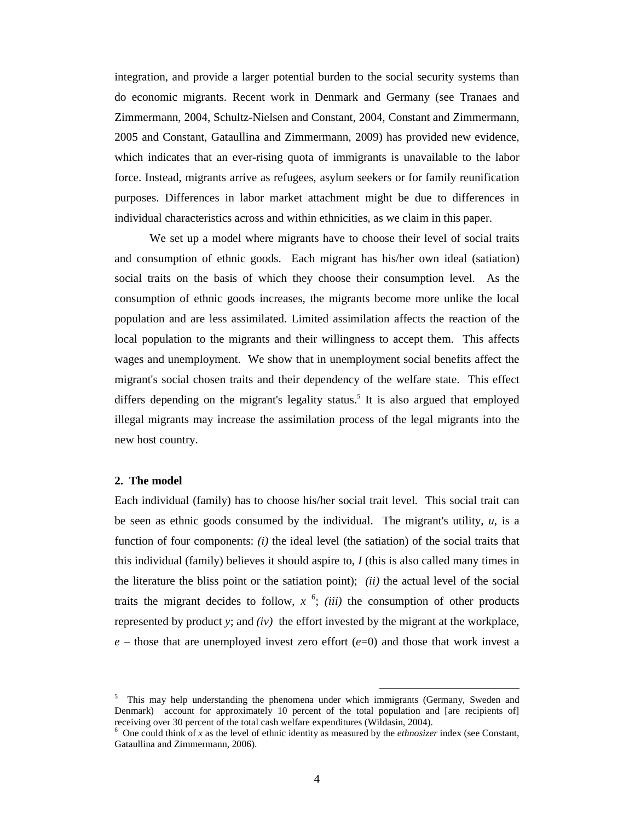integration, and provide a larger potential burden to the social security systems than do economic migrants. Recent work in Denmark and Germany (see Tranaes and Zimmermann, 2004, Schultz-Nielsen and Constant, 2004, Constant and Zimmermann, 2005 and Constant, Gataullina and Zimmermann, 2009) has provided new evidence, which indicates that an ever-rising quota of immigrants is unavailable to the labor force. Instead, migrants arrive as refugees, asylum seekers or for family reunification purposes. Differences in labor market attachment might be due to differences in individual characteristics across and within ethnicities, as we claim in this paper.

We set up a model where migrants have to choose their level of social traits and consumption of ethnic goods. Each migrant has his/her own ideal (satiation) social traits on the basis of which they choose their consumption level. As the consumption of ethnic goods increases, the migrants become more unlike the local population and are less assimilated. Limited assimilation affects the reaction of the local population to the migrants and their willingness to accept them. This affects wages and unemployment. We show that in unemployment social benefits affect the migrant's social chosen traits and their dependency of the welfare state. This effect differs depending on the migrant's legality status.<sup>5</sup> It is also argued that employed illegal migrants may increase the assimilation process of the legal migrants into the new host country.

#### **2. The model**

Each individual (family) has to choose his/her social trait level. This social trait can be seen as ethnic goods consumed by the individual. The migrant's utility,  $u$ , is a function of four components: *(i)* the ideal level (the satiation) of the social traits that this individual (family) believes it should aspire to, *I* (this is also called many times in the literature the bliss point or the satiation point); *(ii)* the actual level of the social traits the migrant decides to follow,  $x^6$ ; *(iii)* the consumption of other products represented by product *y*; and *(iv)* the effort invested by the migrant at the workplace,  $e$  – those that are unemployed invest zero effort  $(e=0)$  and those that work invest a

<sup>&</sup>lt;sup>5</sup> This may help understanding the phenomena under which immigrants (Germany, Sweden and Denmark) account for approximately 10 percent of the total population and [are recipients of] receiving over 30 percent of the total cash welfare expenditures (Wildasin, 2004).

<sup>6</sup> One could think of *x* as the level of ethnic identity as measured by the *ethnosizer* index (see Constant, Gataullina and Zimmermann, 2006).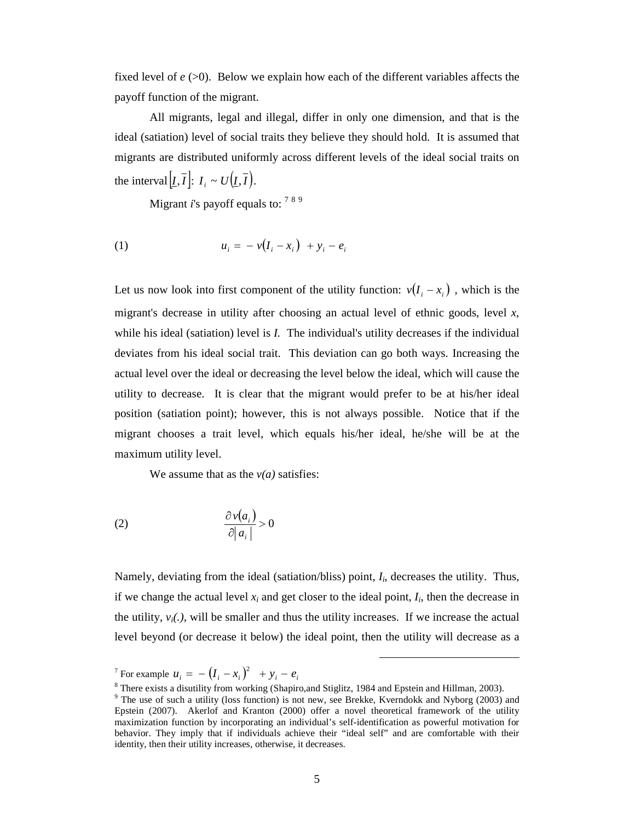fixed level of  $e$  (>0). Below we explain how each of the different variables affects the payoff function of the migrant.

 All migrants, legal and illegal, differ in only one dimension, and that is the ideal (satiation) level of social traits they believe they should hold. It is assumed that migrants are distributed uniformly across different levels of the ideal social traits on the interval  $[I, \overline{I}]$ :  $I_i \sim U(I, \overline{I})$ .

Migrant *i*'s payoff equals to: <sup>789</sup>

(1) 
$$
u_i = -v(I_i - x_i) + y_i - e_i
$$

Let us now look into first component of the utility function:  $v(I_i - x_i)$ , which is the migrant's decrease in utility after choosing an actual level of ethnic goods, level *x,* while his ideal (satiation) level is *I*. The individual's utility decreases if the individual deviates from his ideal social trait. This deviation can go both ways. Increasing the actual level over the ideal or decreasing the level below the ideal, which will cause the utility to decrease. It is clear that the migrant would prefer to be at his/her ideal position (satiation point); however, this is not always possible. Notice that if the migrant chooses a trait level, which equals his/her ideal, he/she will be at the maximum utility level.

We assume that as the  $v(a)$  satisfies:

$$
(2) \qquad \qquad \frac{\partial v(a_i)}{\partial |a_i|} > 0
$$

Namely, deviating from the ideal (satiation/bliss) point,  $I_i$ , decreases the utility. Thus, if we change the actual level  $x_i$  and get closer to the ideal point,  $I_i$ , then the decrease in the utility,  $v_i(.)$ , will be smaller and thus the utility increases. If we increase the actual level beyond (or decrease it below) the ideal point, then the utility will decrease as a

<sup>&</sup>lt;sup>7</sup> For example  $u_i = -\left(I_i - x_i\right)^2 + y_i - e_i$ 

<sup>&</sup>lt;sup>8</sup> There exists a disutility from working (Shapiro, and Stiglitz, 1984 and Epstein and Hillman, 2003).

 $9$  The use of such a utility (loss function) is not new, see Brekke, Kverndokk and Nyborg (2003) and Epstein (2007). Akerlof and Kranton (2000) offer a novel theoretical framework of the utility maximization function by incorporating an individual's self-identification as powerful motivation for behavior. They imply that if individuals achieve their "ideal self" and are comfortable with their identity, then their utility increases, otherwise, it decreases.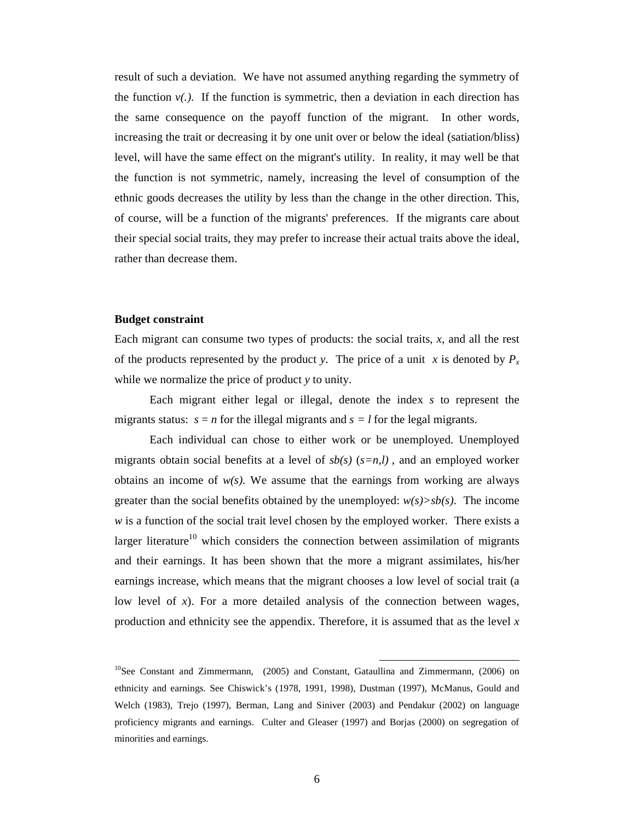result of such a deviation. We have not assumed anything regarding the symmetry of the function  $v(.)$ . If the function is symmetric, then a deviation in each direction has the same consequence on the payoff function of the migrant. In other words, increasing the trait or decreasing it by one unit over or below the ideal (satiation/bliss) level, will have the same effect on the migrant's utility. In reality, it may well be that the function is not symmetric, namely, increasing the level of consumption of the ethnic goods decreases the utility by less than the change in the other direction. This, of course, will be a function of the migrants' preferences. If the migrants care about their special social traits, they may prefer to increase their actual traits above the ideal, rather than decrease them.

#### **Budget constraint**

Each migrant can consume two types of products: the social traits, *x*, and all the rest of the products represented by the product *y*. The price of a unit *x* is denoted by  $P_x$ while we normalize the price of product *y* to unity.

 Each migrant either legal or illegal, denote the index *s* to represent the migrants status:  $s = n$  for the illegal migrants and  $s = l$  for the legal migrants.

Each individual can chose to either work or be unemployed. Unemployed migrants obtain social benefits at a level of  $sb(s)$   $(s=n,l)$ , and an employed worker obtains an income of  $w(s)$ . We assume that the earnings from working are always greater than the social benefits obtained by the unemployed:  $w(s) > sb(s)$ . The income *w* is a function of the social trait level chosen by the employed worker. There exists a larger literature<sup>10</sup> which considers the connection between assimilation of migrants and their earnings. It has been shown that the more a migrant assimilates, his/her earnings increase, which means that the migrant chooses a low level of social trait (a low level of *x*). For a more detailed analysis of the connection between wages, production and ethnicity see the appendix. Therefore, it is assumed that as the level *x*

 $10$ See Constant and Zimmermann, (2005) and Constant, Gataullina and Zimmermann, (2006) on ethnicity and earnings. See Chiswick's (1978, 1991, 1998), Dustman (1997), McManus, Gould and Welch (1983), Trejo (1997), Berman, Lang and Siniver (2003) and Pendakur (2002) on language proficiency migrants and earnings. Culter and Gleaser (1997) and Borjas (2000) on segregation of minorities and earnings.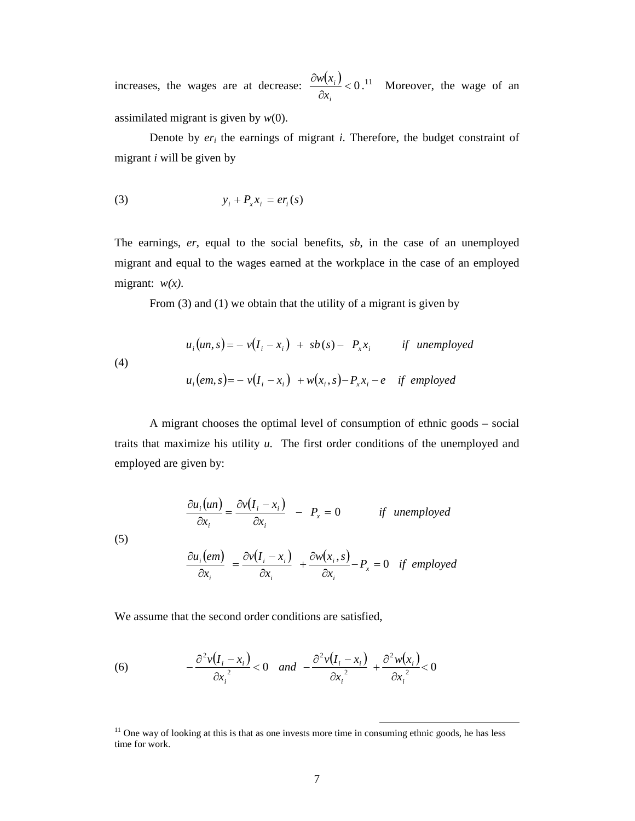increases, the wages are at decrease:  $\frac{\partial w(x_i)}{\partial x} < 0$ ∂ *i i x*  $\frac{w(x_i)}{2}$  < 0.<sup>11</sup> Moreover, the wage of an assimilated migrant is given by *w*(0).

Denote by  $er_i$  the earnings of migrant  $i$ . Therefore, the budget constraint of migrant *i* will be given by

$$
(3) \t\t y_i + P_x x_i = er_i(s)
$$

The earnings, *er*, equal to the social benefits, *sb*, in the case of an unemployed migrant and equal to the wages earned at the workplace in the case of an employed migrant: *w(x)*.

From (3) and (1) we obtain that the utility of a migrant is given by

(4)  

$$
u_i(un, s) = -v(I_i - x_i) + sb(s) - P_x x_i \t\t \text{if} unemployed
$$

$$
u_i(em, s) = -v(I_i - x_i) + w(x_i, s) - P_x x_i - e \t\t \text{if } employed
$$

A migrant chooses the optimal level of consumption of ethnic goods – social traits that maximize his utility *u*. The first order conditions of the unemployed and employed are given by:

$$
\frac{\partial u_i(un)}{\partial x_i} = \frac{\partial v(I_i - x_i)}{\partial x_i} - P_x = 0 \quad \text{if unemployed}
$$

$$
\frac{\partial u_i(em)}{\partial x_i} = \frac{\partial v(I_i - x_i)}{\partial x_i} + \frac{\partial w(x_i, s)}{\partial x_i} - P_x = 0 \quad \text{if employed}
$$

We assume that the second order conditions are satisfied,

(5)

(6) 
$$
-\frac{\partial^2 v(I_i - x_i)}{\partial x_i^2} < 0 \quad \text{and} \quad -\frac{\partial^2 v(I_i - x_i)}{\partial x_i^2} + \frac{\partial^2 w(x_i)}{\partial x_i^2} < 0
$$

 $11$  One way of looking at this is that as one invests more time in consuming ethnic goods, he has less time for work.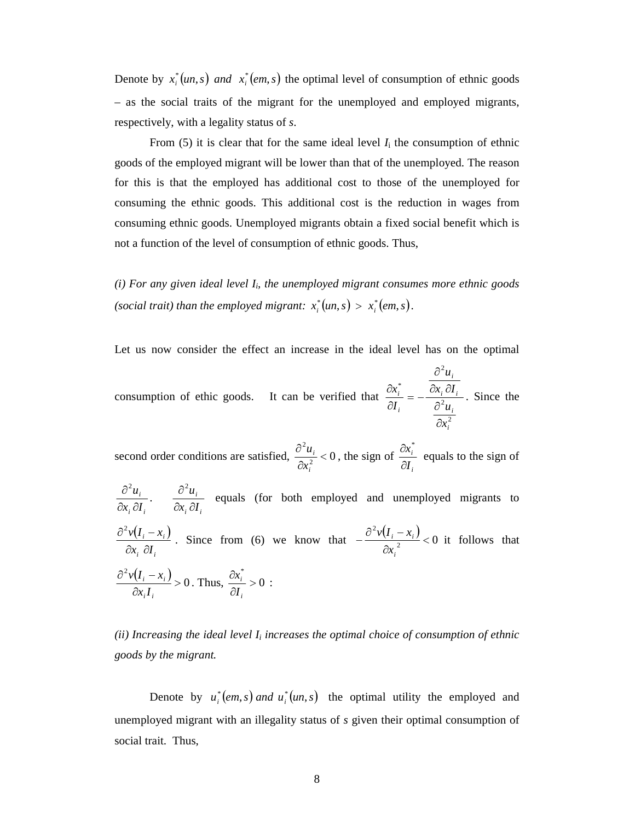Denote by  $x_i^*(un, s)$  *and*  $x_i^*(em, s)$  the optimal level of consumption of ethnic goods – as the social traits of the migrant for the unemployed and employed migrants, respectively, with a legality status of *s*.

From  $(5)$  it is clear that for the same ideal level  $I_i$  the consumption of ethnic goods of the employed migrant will be lower than that of the unemployed. The reason for this is that the employed has additional cost to those of the unemployed for consuming the ethnic goods. This additional cost is the reduction in wages from consuming ethnic goods. Unemployed migrants obtain a fixed social benefit which is not a function of the level of consumption of ethnic goods. Thus,

(i) For any given ideal level I<sub>i</sub>, the unemployed migrant consumes more ethnic goods *(social trait) than the employed migrant:*  $x_i^*(un, s) > x_i^*(em, s)$ .

Let us now consider the effect an increase in the ideal level has on the optimal

consumption of ethic goods. It can be verified that 2 2 2 \* *i i i i i i i x u*  $x_i \partial I$ *u I x* ∂ ∂  $\partial x \cdot \partial$ ∂ −= ∂ ∂ . Since the

second order conditions are satisfied,  $\frac{u_i}{2r^2} < 0$  $\frac{2u_i}{1}$  < ∂ ∂ *i i x*  $\frac{u_i}{2}$  < 0, the sign of *i i I x* ∂  $\partial x^*$ equals to the sign of

*i i i*  $x_i \partial I$ *u*  $\partial x_i \partial$  $\partial^2$ .  $i^{\mathbf{U} \cdot i}$ *i*  $x_i \partial I$ *u*  $\partial x_i \, \partial$  $\partial^2$  equals (for both employed and unemployed migrants to  $(I_i - x_i)$ *i i*  $i \rightarrow i$  $x_i$   $\partial I$  $v(I_i - x)$  $\partial x$ . ∂  $\frac{\partial^2 v(I_i - x_i)}{\partial x_i}$ . Since from (6) we know that  $-\frac{\partial^2 v(I_i - x_i)}{\partial x_i^2} < 0$  $\frac{2v(I_i-x_i)}{I}$ ∂  $-\frac{\partial^2 v(I_i$ *i*  $i \sim \lambda_i$ *x*  $\frac{v(I_i - x_i)}{i}$  < 0 it follows that  $\frac{(I_i - x_i)}{2} > 0$  $\frac{2v(I_i-x_i)}{2}$ ∂  $\partial^2 v(I_1$  $i \rightarrow i$  $x_i I$  $\frac{v(I_i - x_i)}{2} > 0$ . Thus,  $\frac{\partial x_i^*}{\partial x} > 0$ \*<br>-<br>- > ∂ ∂ *i I*  $\frac{x_i^*}{\cdots} > 0$ :

 $(iii)$  Increasing the ideal level  $I_i$  increases the optimal choice of consumption of ethnic *goods by the migrant.* 

*i*

*ii*

Denote by  $u_i^*(em, s)$  *and*  $u_i^*(un, s)$  the optimal utility the employed and unemployed migrant with an illegality status of *s* given their optimal consumption of social trait. Thus,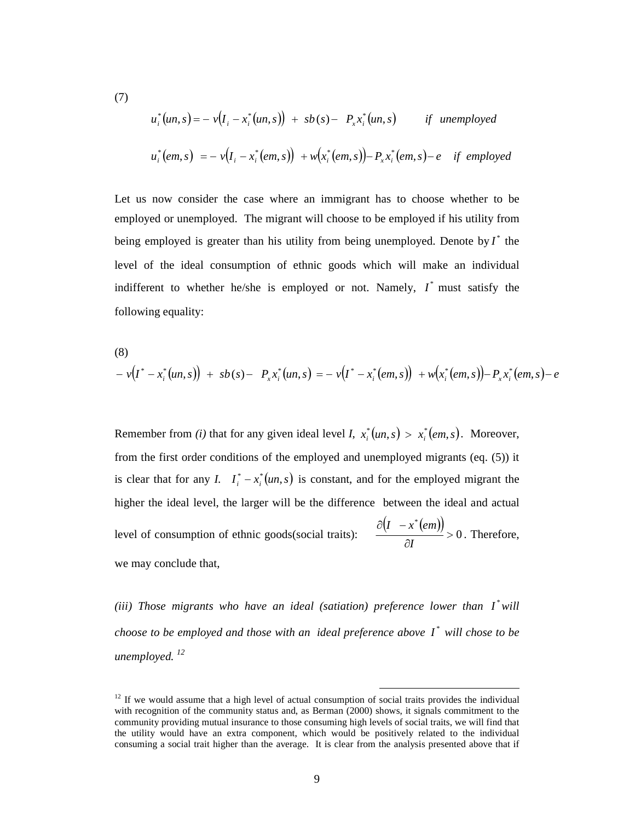$$
u_i^*(un, s) = -v(I_i - x_i^*(un, s)) + sb(s) - P_x x_i^*(un, s) \qquad \text{if} \text{ unemployed}
$$
  

$$
u_i^*(em, s) = -v(I_i - x_i^*(em, s)) + w(x_i^*(em, s)) - P_x x_i^*(em, s) - e \quad \text{if} \text{ employed}
$$

(7)

Let us now consider the case where an immigrant has to choose whether to be employed or unemployed. The migrant will choose to be employed if his utility from being employed is greater than his utility from being unemployed. Denote by  $I^*$  the level of the ideal consumption of ethnic goods which will make an individual indifferent to whether he/she is employed or not. Namely,  $I^*$  must satisfy the following equality:

(8)  
\n
$$
-v(I^* - x_i^*(un, s)) + sb(s) - P_x x_i^*(un, s) = -v(I^* - x_i^*(em, s)) + w(x_i^*(em, s)) - P_x x_i^*(em, s) - e
$$

Remember from *(i)* that for any given ideal level *I*,  $x_i^*(un, s) > x_i^*(em, s)$ . Moreover, from the first order conditions of the employed and unemployed migrants (eq. (5)) it is clear that for any *I.*  $I_i^* - x_i^* (un, s)$  is constant, and for the employed migrant the higher the ideal level, the larger will be the difference between the ideal and actual level of consumption of ethnic goods(social traits):  $(I - x^*(em))$ 0 \*  $>$ ∂ ∂(1 – *I I x em* . Therefore, we may conclude that,

(iii) Those migrants who have an ideal (satiation) preference lower than I<sup>\*</sup>will *choose to be employed and those with an ideal preference above*  $I^*$  *will chose to be unemployed. <sup>12</sup>*

 $12$  If we would assume that a high level of actual consumption of social traits provides the individual with recognition of the community status and, as Berman (2000) shows, it signals commitment to the community providing mutual insurance to those consuming high levels of social traits, we will find that the utility would have an extra component, which would be positively related to the individual consuming a social trait higher than the average. It is clear from the analysis presented above that if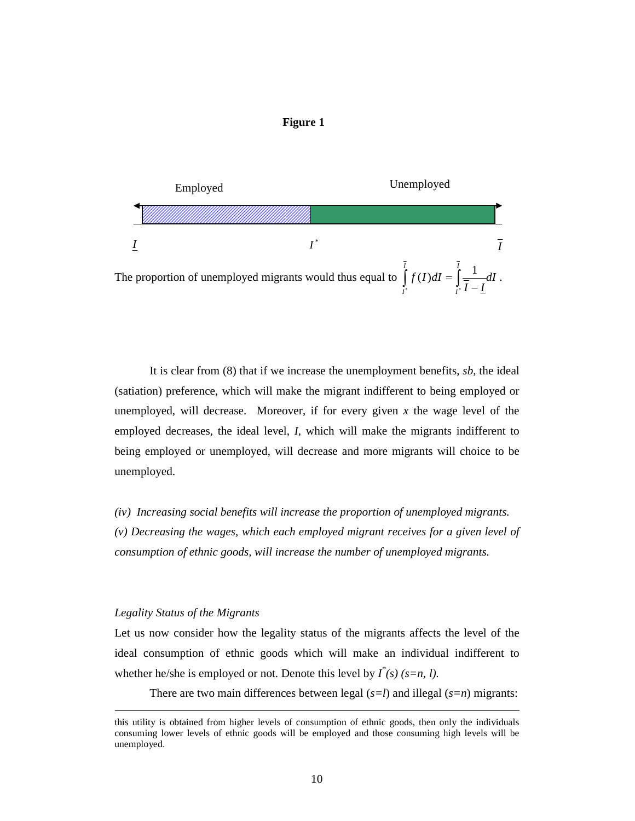



It is clear from (8) that if we increase the unemployment benefits, *sb*, the ideal (satiation) preference, which will make the migrant indifferent to being employed or unemployed, will decrease. Moreover, if for every given  $x$  the wage level of the employed decreases, the ideal level, *I*, which will make the migrants indifferent to being employed or unemployed, will decrease and more migrants will choice to be unemployed.

*(iv) Increasing social benefits will increase the proportion of unemployed migrants. (v) Decreasing the wages, which each employed migrant receives for a given level of consumption of ethnic goods, will increase the number of unemployed migrants.* 

#### *Legality Status of the Migrants*

 $\overline{a}$ 

Let us now consider how the legality status of the migrants affects the level of the ideal consumption of ethnic goods which will make an individual indifferent to whether he/she is employed or not. Denote this level by  $I^*(s)$  ( $s=n, l$ ).

There are two main differences between legal (*s=l*) and illegal (*s=n*) migrants:

this utility is obtained from higher levels of consumption of ethnic goods, then only the individuals consuming lower levels of ethnic goods will be employed and those consuming high levels will be unemployed.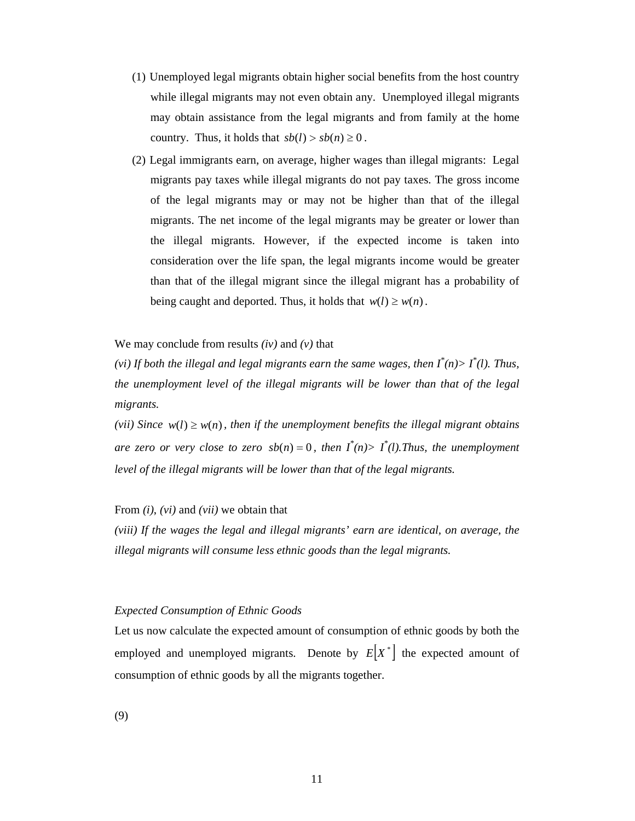- (1) Unemployed legal migrants obtain higher social benefits from the host country while illegal migrants may not even obtain any. Unemployed illegal migrants may obtain assistance from the legal migrants and from family at the home country. Thus, it holds that  $sb(l) > sb(n) \geq 0$ .
- (2) Legal immigrants earn, on average, higher wages than illegal migrants: Legal migrants pay taxes while illegal migrants do not pay taxes. The gross income of the legal migrants may or may not be higher than that of the illegal migrants. The net income of the legal migrants may be greater or lower than the illegal migrants. However, if the expected income is taken into consideration over the life span, the legal migrants income would be greater than that of the illegal migrant since the illegal migrant has a probability of being caught and deported. Thus, it holds that  $w(l) \geq w(n)$ .

We may conclude from results *(iv)* and *(v)* that

*(vi)* If both the illegal and legal migrants earn the same wages, then  $I^*(n) > I^*(l)$ . Thus, *the unemployment level of the illegal migrants will be lower than that of the legal migrants.* 

*(vii)* Since  $w(l) \geq w(n)$ , then if the unemployment benefits the illegal migrant obtains *are zero or very close to zero*  $sb(n) = 0$ *, then*  $I^*(n) > I^*(l)$ . Thus, the unemployment *level of the illegal migrants will be lower than that of the legal migrants.* 

From *(i)*, *(vi)* and *(vii)* we obtain that

*(viii) If the wages the legal and illegal migrants' earn are identical, on average, the illegal migrants will consume less ethnic goods than the legal migrants.* 

#### *Expected Consumption of Ethnic Goods*

Let us now calculate the expected amount of consumption of ethnic goods by both the employed and unemployed migrants. Denote by  $E|X^*|$  the expected amount of consumption of ethnic goods by all the migrants together.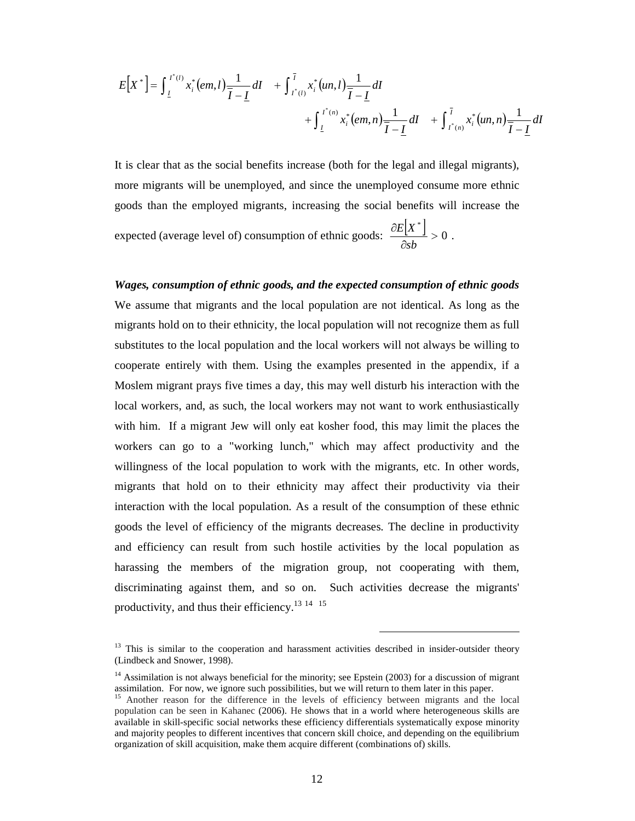$$
E[X^*] = \int_{\underline{I}} I^{*(i)} x_i^* (em, l) \frac{1}{\overline{I} - \underline{I}} dl + \int_{I^*(i)}^{\overline{I}} x_i^* (un, l) \frac{1}{\overline{I} - \underline{I}} dl + \int_{\underline{I}} I^{*(i)} x_i^* (em, n) \frac{1}{\overline{I} - \underline{I}} dl + \int_{I^*(i)}^{\overline{I}} x_i^* (un, n) \frac{1}{\overline{I} - \underline{I}} dl
$$

It is clear that as the social benefits increase (both for the legal and illegal migrants), more migrants will be unemployed, and since the unemployed consume more ethnic goods than the employed migrants, increasing the social benefits will increase the

expected (average level of) consumption of ethnic goods:  $\frac{\partial E[X^*]}{\partial \theta} > 0$  $\mathbb{L}$ ∂ ∂ *sb*  $\frac{E[X^*]}{2} > 0$ .

*Wages, consumption of ethnic goods, and the expected consumption of ethnic goods*  We assume that migrants and the local population are not identical. As long as the migrants hold on to their ethnicity, the local population will not recognize them as full substitutes to the local population and the local workers will not always be willing to cooperate entirely with them. Using the examples presented in the appendix, if a Moslem migrant prays five times a day, this may well disturb his interaction with the local workers, and, as such, the local workers may not want to work enthusiastically with him. If a migrant Jew will only eat kosher food, this may limit the places the workers can go to a "working lunch," which may affect productivity and the willingness of the local population to work with the migrants, etc. In other words, migrants that hold on to their ethnicity may affect their productivity via their interaction with the local population. As a result of the consumption of these ethnic goods the level of efficiency of the migrants decreases. The decline in productivity and efficiency can result from such hostile activities by the local population as harassing the members of the migration group, not cooperating with them, discriminating against them, and so on. Such activities decrease the migrants' productivity, and thus their efficiency.<sup>13 14</sup> <sup>15</sup>

<sup>&</sup>lt;sup>13</sup> This is similar to the cooperation and harassment activities described in insider-outsider theory (Lindbeck and Snower, 1998).

<sup>&</sup>lt;sup>14</sup> Assimilation is not always beneficial for the minority; see Epstein (2003) for a discussion of migrant assimilation. For now, we ignore such possibilities, but we will return to them later in this paper.

<sup>15</sup> Another reason for the difference in the levels of efficiency between migrants and the local population can be seen in Kahanec (2006). He shows that in a world where heterogeneous skills are available in skill-specific social networks these efficiency differentials systematically expose minority and majority peoples to different incentives that concern skill choice, and depending on the equilibrium organization of skill acquisition, make them acquire different (combinations of) skills.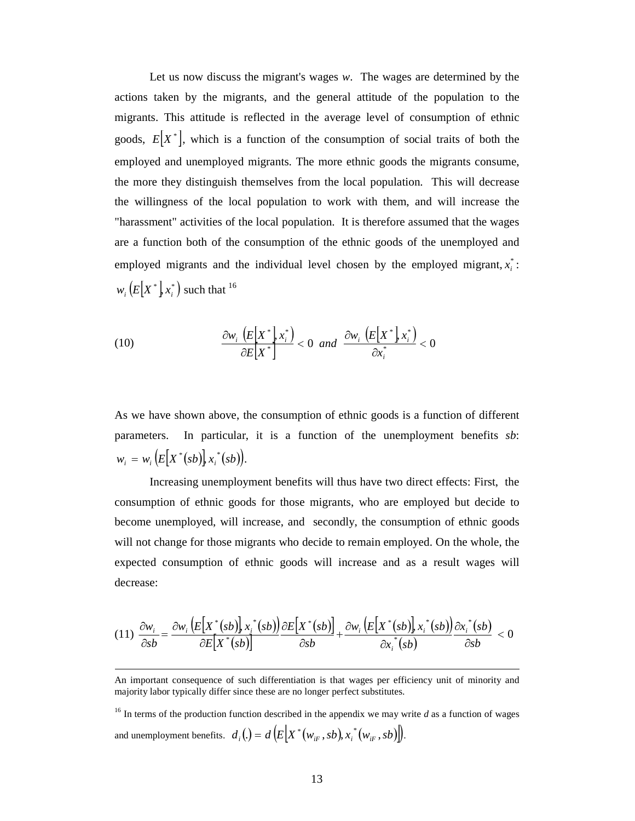Let us now discuss the migrant's wages *w*. The wages are determined by the actions taken by the migrants, and the general attitude of the population to the migrants. This attitude is reflected in the average level of consumption of ethnic goods,  $E|X^*|$ , which is a function of the consumption of social traits of both the employed and unemployed migrants. The more ethnic goods the migrants consume, the more they distinguish themselves from the local population. This will decrease the willingness of the local population to work with them, and will increase the "harassment" activities of the local population. It is therefore assumed that the wages are a function both of the consumption of the ethnic goods of the unemployed and employed migrants and the individual level chosen by the employed migrant,  $x_i^*$ :  $w_i(E[X^*], x_i^*)$  such that <sup>16</sup>

(10) 
$$
\frac{\partial w_i\left(E[X^*], x_i^*\right)}{\partial E[X^*]} < 0 \text{ and } \frac{\partial w_i\left(E[X^*], x_i^*\right)}{\partial x_i^*} < 0
$$

As we have shown above, the consumption of ethnic goods is a function of different parameters. In particular, it is a function of the unemployment benefits *sb*:  $w_i = w_i (E[X^*(sb)], x_i^*(sb)).$ 

Increasing unemployment benefits will thus have two direct effects: First, the consumption of ethnic goods for those migrants, who are employed but decide to become unemployed, will increase, and secondly, the consumption of ethnic goods will not change for those migrants who decide to remain employed. On the whole, the expected consumption of ethnic goods will increase and as a result wages will decrease:

$$
(11)\ \frac{\partial w_i}{\partial s b} = \frac{\partial w_i \left(E\big[X^*(sb)\big],x_i^*(sb)\big]}{\partial E\big[X^*(sb)\big]} \frac{\partial E\big[X^*(sb)\big]}{\partial sb} + \frac{\partial w_i \left(E\big[X^*(sb)\big],x_i^*(sb)\big)}{\partial x_i^*(sb)} \frac{\partial x_i^*(sb)}{\partial sb} < 0
$$

 $\overline{a}$ 

<sup>16</sup> In terms of the production function described in the appendix we may write *d* as a function of wages and unemployment benefits.  $d_i() = d \left( E \left[ X^*(w_{ir}, sb), x_i^*(w_{ir}, sb) \right] \right)$ .

An important consequence of such differentiation is that wages per efficiency unit of minority and majority labor typically differ since these are no longer perfect substitutes.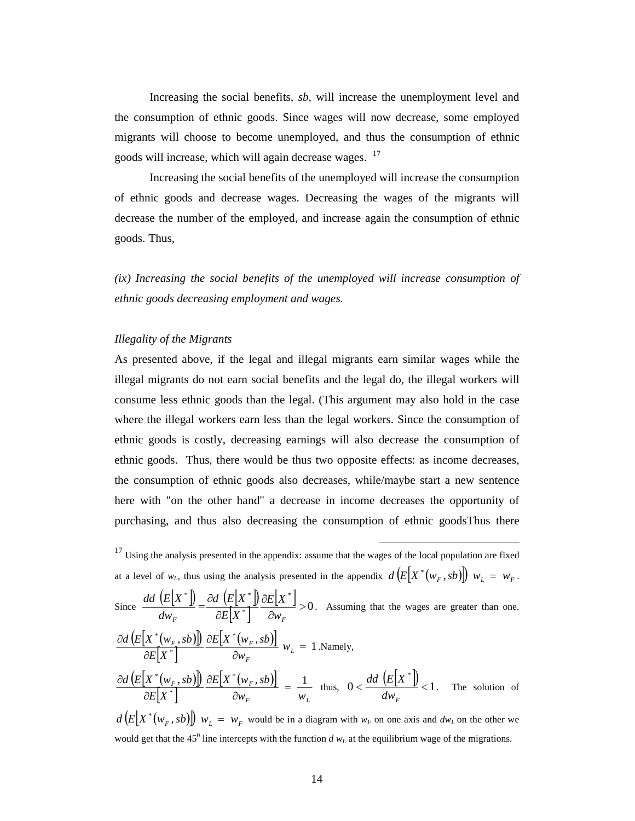Increasing the social benefits, *sb,* will increase the unemployment level and the consumption of ethnic goods. Since wages will now decrease, some employed migrants will choose to become unemployed, and thus the consumption of ethnic goods will increase, which will again decrease wages. <sup>17</sup>

Increasing the social benefits of the unemployed will increase the consumption of ethnic goods and decrease wages. Decreasing the wages of the migrants will decrease the number of the employed, and increase again the consumption of ethnic goods. Thus,

*(ix) Increasing the social benefits of the unemployed will increase consumption of ethnic goods decreasing employment and wages.*

#### *Illegality of the Migrants*

As presented above, if the legal and illegal migrants earn similar wages while the illegal migrants do not earn social benefits and the legal do, the illegal workers will consume less ethnic goods than the legal. (This argument may also hold in the case where the illegal workers earn less than the legal workers. Since the consumption of ethnic goods is costly, decreasing earnings will also decrease the consumption of ethnic goods. Thus, there would be thus two opposite effects: as income decreases, the consumption of ethnic goods also decreases, while/maybe start a new sentence here with "on the other hand" a decrease in income decreases the opportunity of purchasing, and thus also decreasing the consumption of ethnic goodsThus there

 $17$  Using the analysis presented in the appendix: assume that the wages of the local population are fixed at a level of  $w_L$ , thus using the analysis presented in the appendix  $d(E[X^*(w_F, sb)]) w_L = w_F$ . Since  $\frac{dd(E[X^*])}{\sqrt{E[X^*]}} = \frac{\partial d(E[X^*])}{\sqrt{E[X^*]}}$  $\left[ \overline{X^{*}}\right] ^{\perp}$  $\left[\begin{matrix} X^* \end{matrix}\right]_{>0}$ \* \*  $\frac{1}{\epsilon}$  =  $\frac{\partial d}{\partial E}$   $\frac{E[X^*]}{E[X^*]}$   $\frac{\partial E[X^*]}{E[X^*]}$ ∂ ∂ ∂ ∂ = *F*  $\partial E[X^*]$   $\partial w_F$  $E|X$  $E|X$ *d E X dw*  $\frac{dd}{dx}\left(\frac{E[X^*]}{X}\right) = \frac{\partial d}{dx}\left(\frac{E[X^*]}{X}\right) \frac{\partial E[X^*]}{\partial x} > 0$ . Assuming that the wages are greater than one.  $(E|X^*(w_F, sb))$  $\left[ \overset{\cdot }{X}^{\ast }\right]$  $\frac{(b, sb)}{s} \frac{\partial E[X^*(w_F, sb)]}{\partial w_L}$   $w_L = 1$ \*  $\frac{((w_F, sb))}{(w_F, sb)} \frac{\partial E[X^*(w_F, sb)]}{(w_F, sb)} w$ ∂ ∂ ∂ ∂ *L F*  $\frac{F}{\epsilon}$   $\frac{F}{\epsilon}$   $\frac{F}{\epsilon}$   $\frac{F}{\epsilon}$   $\frac{F}{\epsilon}$   $\frac{F}{\epsilon}$   $\frac{F}{\epsilon}$   $\frac{F}{\epsilon}$   $\frac{F}{\epsilon}$   $\frac{F}{\epsilon}$   $\frac{F}{\epsilon}$   $\frac{F}{\epsilon}$ *w*  $E|X^*(w_F, sb)$  $E|X$  $\frac{d(E[X^*(w_F, sb)])}{\sum_{r=1}^{N} |W_r(s)|} \frac{\partial E[X^*(w_F, sb)]}{\partial w_r} w_r = 1$ .Namely,  $(E|X^*(w_F, sb))$  $\left[ \overset{\cdot }{X}^{\ast }\right]$  $|X^*({w_F}, sb)|$ *F*  $W_L$  $F_F$ , *SO* JJJ *O***L**[A  $W_F$  $W_F$  *w*  $E|X^*(w_F, sb)$  $E|X$  $d(E[X^*(w_F, sb)]) \partial E[X^*(w_F, sb)]$  1 \*  $\frac{((w_F, sb))}{(w_F, sb)} \frac{\partial E[X^*(w_F, sb)]}{(w_F, sb)}$ ∂ ∂ ∂ ∂ thus,  $0 < \frac{dd \left( E[X^*] \right)}{1} < 1$  $\frac{dd\,\left(E[X^*\right])}{\sqrt{2}}$  $dw_F^f$  $\frac{dd (E[X^*])}{dt}$  < 1. The solution of  $d(E[X^*(w_F, sb)])$   $w_L = w_F$  would be in a diagram with  $w_F$  on one axis and  $dw_L$  on the other we

 $\overline{a}$ 

would get that the  $45^{\circ}$  line intercepts with the function  $d w_L$  at the equilibrium wage of the migrations.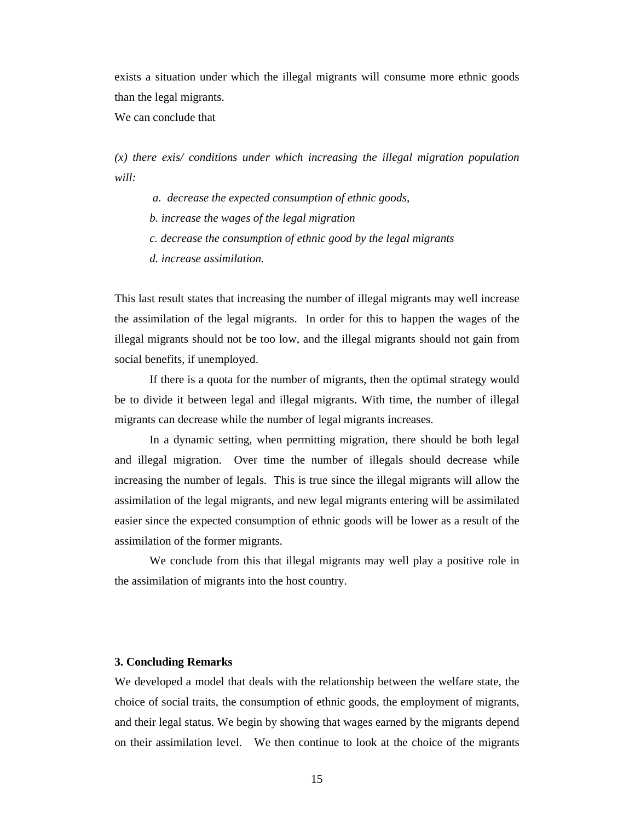exists a situation under which the illegal migrants will consume more ethnic goods than the legal migrants.

We can conclude that

*(x) there exis/ conditions under which increasing the illegal migration population will:* 

 *a. decrease the expected consumption of ethnic goods,* 

*b. increase the wages of the legal migration* 

*c. decrease the consumption of ethnic good by the legal migrants* 

*d. increase assimilation.* 

This last result states that increasing the number of illegal migrants may well increase the assimilation of the legal migrants. In order for this to happen the wages of the illegal migrants should not be too low, and the illegal migrants should not gain from social benefits, if unemployed.

If there is a quota for the number of migrants, then the optimal strategy would be to divide it between legal and illegal migrants. With time, the number of illegal migrants can decrease while the number of legal migrants increases.

In a dynamic setting, when permitting migration, there should be both legal and illegal migration. Over time the number of illegals should decrease while increasing the number of legals. This is true since the illegal migrants will allow the assimilation of the legal migrants, and new legal migrants entering will be assimilated easier since the expected consumption of ethnic goods will be lower as a result of the assimilation of the former migrants.

We conclude from this that illegal migrants may well play a positive role in the assimilation of migrants into the host country.

### **3. Concluding Remarks**

We developed a model that deals with the relationship between the welfare state, the choice of social traits, the consumption of ethnic goods, the employment of migrants, and their legal status. We begin by showing that wages earned by the migrants depend on their assimilation level. We then continue to look at the choice of the migrants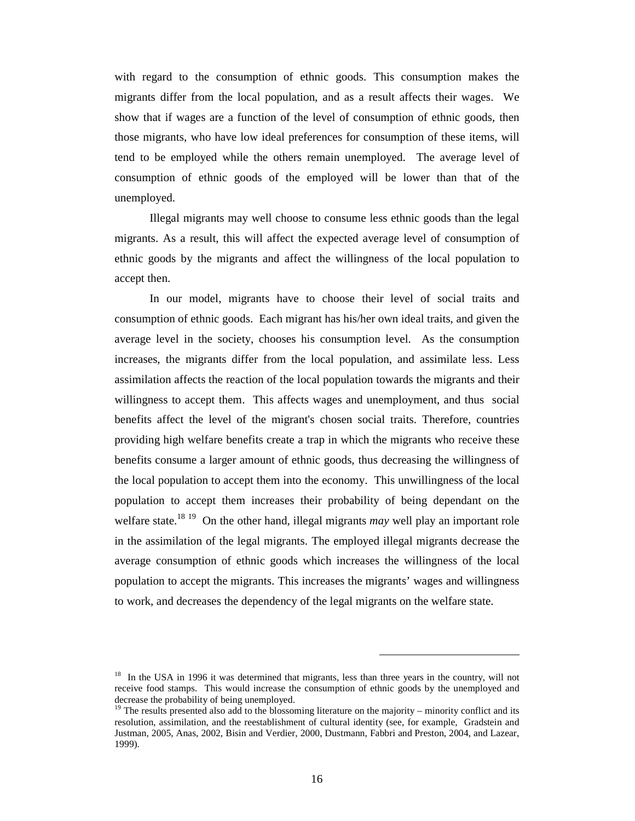with regard to the consumption of ethnic goods. This consumption makes the migrants differ from the local population, and as a result affects their wages. We show that if wages are a function of the level of consumption of ethnic goods, then those migrants, who have low ideal preferences for consumption of these items, will tend to be employed while the others remain unemployed. The average level of consumption of ethnic goods of the employed will be lower than that of the unemployed.

Illegal migrants may well choose to consume less ethnic goods than the legal migrants. As a result, this will affect the expected average level of consumption of ethnic goods by the migrants and affect the willingness of the local population to accept then.

In our model, migrants have to choose their level of social traits and consumption of ethnic goods. Each migrant has his/her own ideal traits, and given the average level in the society, chooses his consumption level. As the consumption increases, the migrants differ from the local population, and assimilate less. Less assimilation affects the reaction of the local population towards the migrants and their willingness to accept them. This affects wages and unemployment, and thus social benefits affect the level of the migrant's chosen social traits. Therefore, countries providing high welfare benefits create a trap in which the migrants who receive these benefits consume a larger amount of ethnic goods, thus decreasing the willingness of the local population to accept them into the economy. This unwillingness of the local population to accept them increases their probability of being dependant on the welfare state.<sup>18 19</sup> On the other hand, illegal migrants *may* well play an important role in the assimilation of the legal migrants. The employed illegal migrants decrease the average consumption of ethnic goods which increases the willingness of the local population to accept the migrants. This increases the migrants' wages and willingness to work, and decreases the dependency of the legal migrants on the welfare state.

<sup>&</sup>lt;sup>18</sup> In the USA in 1996 it was determined that migrants, less than three years in the country, will not receive food stamps. This would increase the consumption of ethnic goods by the unemployed and decrease the probability of being unemployed.

<sup>&</sup>lt;sup>19</sup> The results presented also add to the blossoming literature on the majority – minority conflict and its resolution, assimilation, and the reestablishment of cultural identity (see, for example, Gradstein and Justman, 2005, Anas, 2002, Bisin and Verdier, 2000, Dustmann, Fabbri and Preston, 2004, and Lazear, 1999).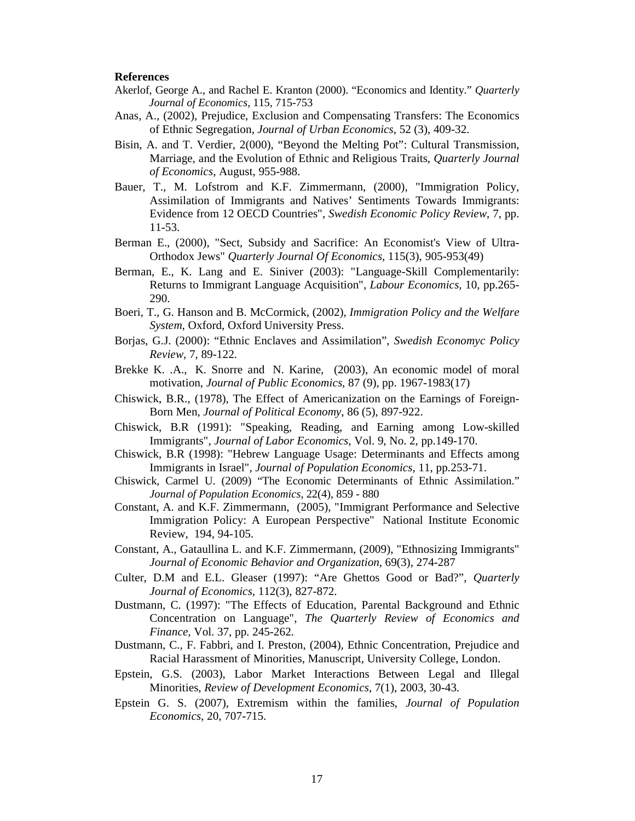#### **References**

- Akerlof, George A., and Rachel E. Kranton (2000). "Economics and Identity." *Quarterly Journal of Economics,* 115, 715-753
- Anas, A., (2002), Prejudice, Exclusion and Compensating Transfers: The Economics of Ethnic Segregation, *Journal of Urban Economics*, 52 (3), 409-32.
- Bisin, A. and T. Verdier, 2(000), "Beyond the Melting Pot": Cultural Transmission, Marriage, and the Evolution of Ethnic and Religious Traits, *Quarterly Journal of Economics*, August, 955-988.
- Bauer, T., M. Lofstrom and K.F. Zimmermann, (2000), "Immigration Policy, Assimilation of Immigrants and Natives' Sentiments Towards Immigrants: Evidence from 12 OECD Countries", *Swedish Economic Policy Review*, 7, pp. 11-53.
- Berman E., (2000), "Sect, Subsidy and Sacrifice: An Economist's View of Ultra-Orthodox Jews" *Quarterly Journal Of Economics,* 115(3), 905-953(49)
- Berman, E., K. Lang and E. Siniver (2003): "Language-Skill Complementarily: Returns to Immigrant Language Acquisition", *Labour Economics,* 10, pp.265- 290.
- Boeri, T., G. Hanson and B. McCormick, (2002), *Immigration Policy and the Welfare System*, Oxford, Oxford University Press.
- Borjas, G.J. (2000): "Ethnic Enclaves and Assimilation", *Swedish Economyc Policy Review,* 7, 89-122.
- Brekke K. .A., K. Snorre and N. Karine, (2003), An economic model of moral motivation, *Journal of Public Economics*, 87 (9), pp. 1967-1983(17)
- Chiswick, B.R., (1978), The Effect of Americanization on the Earnings of Foreign-Born Men, *Journal of Political Economy*, 86 (5), 897-922.
- Chiswick, B.R (1991): "Speaking, Reading, and Earning among Low-skilled Immigrants", *Journal of Labor Economics,* Vol. 9, No. 2, pp.149-170.
- Chiswick, B.R (1998): "Hebrew Language Usage: Determinants and Effects among Immigrants in Israel", *Journal of Population Economics,* 11, pp.253-71.
- Chiswick, Carmel U. (2009) "The Economic Determinants of Ethnic Assimilation." *Journal of Population Economics*, 22(4), 859 - 880
- Constant, A. and K.F. Zimmermann, (2005), "Immigrant Performance and Selective Immigration Policy: A European Perspective" National Institute Economic Review, 194, 94-105.
- Constant, A., Gataullina L. and K.F. Zimmermann, (2009), "Ethnosizing Immigrants" *Journal of Economic Behavior and Organization*, 69(3), 274-287
- Culter, D.M and E.L. Gleaser (1997): "Are Ghettos Good or Bad?", *Quarterly Journal of Economics,* 112(3), 827-872.
- Dustmann, C. (1997): "The Effects of Education, Parental Background and Ethnic Concentration on Language", *The Quarterly Review of Economics and Finance,* Vol. 37, pp. 245-262*.*
- Dustmann, C., F. Fabbri, and I. Preston, (2004), Ethnic Concentration, Prejudice and Racial Harassment of Minorities, Manuscript, University College, London.
- Epstein, G.S. (2003), Labor Market Interactions Between Legal and Illegal Minorities, *Review of Development Economics*, 7(1), 2003, 30-43*.*
- Epstein G. S. (2007), Extremism within the families, *Journal of Population Economics*, 20, 707-715.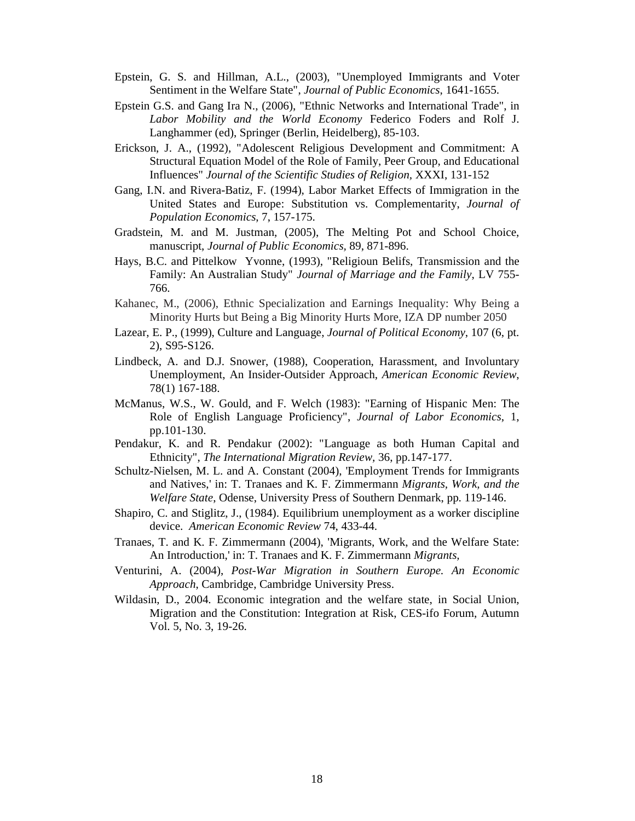- Epstein, G. S. and Hillman, A.L., (2003), "Unemployed Immigrants and Voter Sentiment in the Welfare State", *Journal of Public Economics*, 1641-1655.
- Epstein G.S. and Gang Ira N., (2006), "Ethnic Networks and International Trade", in *Labor Mobility and the World Economy* Federico Foders and Rolf J. Langhammer (ed), Springer (Berlin, Heidelberg), 85-103.
- Erickson, J. A., (1992), "Adolescent Religious Development and Commitment: A Structural Equation Model of the Role of Family, Peer Group, and Educational Influences" *Journal of the Scientific Studies of Religion,* XXXI, 131-152
- Gang, I.N. and Rivera-Batiz, F. (1994), Labor Market Effects of Immigration in the United States and Europe: Substitution vs. Complementarity, *Journal of Population Economics*, 7, 157-175.
- Gradstein, M. and M. Justman, (2005), The Melting Pot and School Choice, manuscript, *Journal of Public Economics,* 89, 871-896.
- Hays, B.C. and Pittelkow Yvonne, (1993), "Religioun Belifs, Transmission and the Family: An Australian Study" *Journal of Marriage and the Family*, LV 755- 766.
- Kahanec, M., (2006), Ethnic Specialization and Earnings Inequality: Why Being a Minority Hurts but Being a Big Minority Hurts More, IZA DP number 2050
- Lazear, E. P., (1999), Culture and Language, *Journal of Political Economy*, 107 (6, pt. 2), S95-S126.
- Lindbeck, A. and D.J. Snower, (1988), Cooperation, Harassment, and Involuntary Unemployment, An Insider-Outsider Approach, *American Economic Review*, 78(1) 167-188.
- McManus, W.S., W. Gould, and F. Welch (1983): "Earning of Hispanic Men: The Role of English Language Proficiency", *Journal of Labor Economics*, 1, pp.101-130.
- Pendakur, K. and R. Pendakur (2002): "Language as both Human Capital and Ethnicity", *The International Migration Review,* 36, pp.147-177.
- Schultz-Nielsen, M. L. and A. Constant (2004), 'Employment Trends for Immigrants and Natives,' in: T. Tranaes and K. F. Zimmermann *Migrants, Work, and the Welfare State*, Odense, University Press of Southern Denmark, pp. 119-146.
- Shapiro, C. and Stiglitz, J., (1984). Equilibrium unemployment as a worker discipline device. *American Economic Review* 74, 433-44.
- Tranaes, T. and K. F. Zimmermann (2004), 'Migrants, Work, and the Welfare State: An Introduction,' in: T. Tranaes and K. F. Zimmermann *Migrants,*
- Venturini, A. (2004), *Post-War Migration in Southern Europe. An Economic Approach*, Cambridge, Cambridge University Press.
- Wildasin, D., 2004. Economic integration and the welfare state, in Social Union, Migration and the Constitution: Integration at Risk, CES-ifo Forum, Autumn Vol. 5, No. 3, 19-26.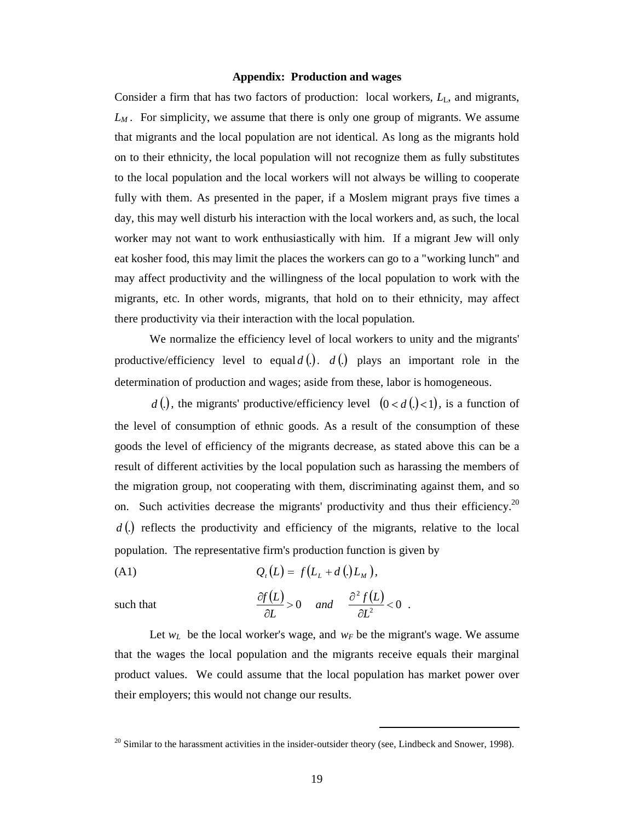#### **Appendix: Production and wages**

Consider a firm that has two factors of production: local workers,  $L<sub>L</sub>$ , and migrants, *LM .* For simplicity, we assume that there is only one group of migrants. We assume that migrants and the local population are not identical. As long as the migrants hold on to their ethnicity, the local population will not recognize them as fully substitutes to the local population and the local workers will not always be willing to cooperate fully with them. As presented in the paper, if a Moslem migrant prays five times a day, this may well disturb his interaction with the local workers and, as such, the local worker may not want to work enthusiastically with him. If a migrant Jew will only eat kosher food, this may limit the places the workers can go to a "working lunch" and may affect productivity and the willingness of the local population to work with the migrants, etc. In other words, migrants, that hold on to their ethnicity, may affect there productivity via their interaction with the local population.

We normalize the efficiency level of local workers to unity and the migrants' productive/efficiency level to equal  $d(.)$ .  $d(.)$  plays an important role in the determination of production and wages; aside from these, labor is homogeneous.

*d* (*l*), the migrants' productive/efficiency level  $(0 < d$  (*l*) $< 1$ ), is a function of the level of consumption of ethnic goods. As a result of the consumption of these goods the level of efficiency of the migrants decrease, as stated above this can be a result of different activities by the local population such as harassing the members of the migration group, not cooperating with them, discriminating against them, and so on. Such activities decrease the migrants' productivity and thus their efficiency.<sup>20</sup> *d* (*c*) reflects the productivity and efficiency of the migrants, relative to the local population. The representative firm's production function is given by

(A1) 
$$
Q_t(L) = f(L_t + d_t(L_t)),
$$

such that 
$$
\frac{\partial f(L)}{\partial L} > 0
$$
 and  $\frac{\partial^2 f(L)}{\partial L^2} < 0$ 

.

 $\overline{a}$ 

Let  $w_L$  be the local worker's wage, and  $w_F$  be the migrant's wage. We assume that the wages the local population and the migrants receive equals their marginal product values. We could assume that the local population has market power over their employers; this would not change our results.

<sup>&</sup>lt;sup>20</sup> Similar to the harassment activities in the insider-outsider theory (see, Lindbeck and Snower, 1998).